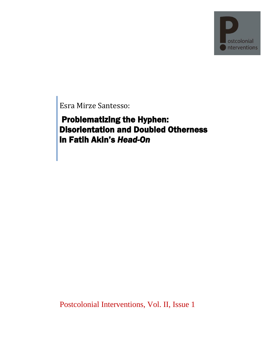

Esra Mirze Santesso:

 Problematizing the Hyphen: Disorientation and Doubled Otherness in Fatih Akin's *Head-On*

Postcolonial Interventions, Vol. II, Issue 1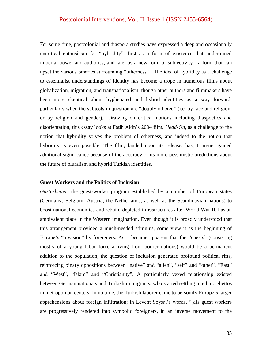For some time, postcolonial and diaspora studies have expressed a deep and occasionally uncritical enthusiasm for "hybridity", first as a form of existence that undermined imperial power and authority, and later as a new form of subjectivity—a form that can upset the various binaries surrounding "otherness."<sup>1</sup> The idea of hybridity as a challenge to essentialist understandings of identity has become a trope in numerous films about globalization, migration, and transnationalism, though other authors and filmmakers have been more skeptical about hyphenated and hybrid identities as a way forward, particularly when the subjects in question are "doubly othered" (i.e. by race and religion, or by religion and gender).<sup>2</sup> Drawing on critical notions including diaspoetics and disorientation, this essay looks at Fatih Akin's 2004 film, *Head-On*, as a challenge to the notion that hybridity solves the problem of otherness, and indeed to the notion that hybridity is even possible. The film, lauded upon its release, has, I argue, gained additional significance because of the accuracy of its more pessimistic predictions about the future of pluralism and hybrid Turkish identities.

#### **Guest Workers and the Politics of Inclusion**

*Gastarbeiter,* the guest-worker program established by a number of European states (Germany, Belgium, Austria, the Netherlands, as well as the Scandinavian nations) to boost national economies and rebuild depleted infrastructures after World War II, has an ambivalent place in the Western imagination. Even though it is broadly understood that this arrangement provided a much-needed stimulus, some view it as the beginning of Europe's "invasion" by foreigners. As it became apparent that the "guests" (consisting mostly of a young labor force arriving from poorer nations) would be a permanent addition to the population, the question of inclusion generated profound political rifts, reinforcing binary oppositions between "native" and "alien", "self" and "other", "East" and "West", "Islam" and "Christianity". A particularly vexed relationship existed between German nationals and Turkish immigrants, who started settling in ethnic ghettos in metropolitan centers. In no time, the Turkish laborer came to personify Europe's larger apprehensions about foreign infiltration; in Levent Soysal's words, "[a]s guest workers are progressively rendered into symbolic foreigners, in an inverse movement to the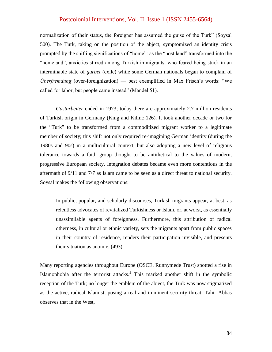normalization of their status, the foreigner has assumed the guise of the Turk" (Soysal 500). The Turk, taking on the position of the abject, symptomized an identity crisis prompted by the shifting significations of "home": as the "host land" transformed into the "homeland", anxieties stirred among Turkish immigrants, who feared being stuck in an interminable state of *gurbet* (exile) while some German nationals began to complain of *Überfremdung* (over-foreignization) — best exemplified in Max Frisch's words: "We called for labor, but people came instead" (Mandel 51).

*Gastarbeiter* ended in 1973; today there are approximately 2.7 million residents of Turkish origin in Germany (King and Kilinc 126). It took another decade or two for the "Turk" to be transformed from a commoditized migrant worker to a legitimate member of society; this shift not only required re-imagining German identity (during the 1980s and 90s) in a multicultural context, but also adopting a new level of religious tolerance towards a faith group thought to be antithetical to the values of modern, progressive European society. Integration debates became even more contentious in the aftermath of 9/11 and 7/7 as Islam came to be seen as a direct threat to national security. Soysal makes the following observations:

In public, popular, and scholarly discourses, Turkish migrants appear, at best, as relentless advocates of revitalized Turkishness or Islam, or, at worst, as essentially unassimilable agents of foreignness. Furthermore, this attribution of radical otherness, in cultural or ethnic variety, sets the migrants apart from public spaces in their country of residence, renders their participation invisible, and presents their situation as anomie. (493)

Many reporting agencies throughout Europe (OSCE, Runnymede Trust) spotted a rise in Islamophobia after the terrorist attacks.<sup>3</sup> This marked another shift in the symbolic reception of the Turk; no longer the emblem of the abject, the Turk was now stigmatized as the active, radical Islamist, posing a real and imminent security threat. Tahir Abbas observes that in the West,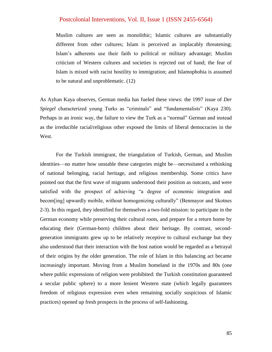Muslim cultures are seen as monolithic; Islamic cultures are substantially different from other cultures; Islam is perceived as implacably threatening; Islam's adherents use their faith to political or military advantage; Muslim criticism of Western cultures and societies is rejected out of hand; the fear of Islam is mixed with racist hostility to immigration; and Islamophobia is assumed to be natural and unproblematic. (12)

As Ayhan Kaya observes, German media has fueled these views: the 1997 issue of *Der Spiegel* characterized young Turks as "criminals" and "fundamentalists" (Kaya 230). Perhaps in an ironic way, the failure to view the Turk as a "normal" German and instead as the irreducible racial/religious other exposed the limits of liberal democracies in the West.

For the Turkish immigrant, the triangulation of Turkish, German, and Muslim identities—no matter how unstable these categories might be—necessitated a rethinking of national belonging, racial heritage, and religious membership. Some critics have pointed out that the first wave of migrants understood their position as outcasts, and were satisfied with the prospect of achieving "a degree of economic integration and becom[ing] upwardly mobile, without homogenizing culturally" (Benmayor and Skotnes 2-3). In this regard, they identified for themselves a two-fold mission: to participate in the German economy while preserving their cultural roots, and prepare for a return home by educating their (German-born) children about their heritage. By contrast, secondgeneration immigrants grew up to be relatively receptive to cultural exchange but they also understood that their interaction with the host nation would be regarded as a betrayal of their origins by the older generation. The role of Islam in this balancing act became increasingly important. Moving from a Muslim homeland in the 1970s and 80s (one where public expressions of religion were prohibited: the Turkish constitution guaranteed a secular public sphere) to a more lenient Western state (which legally guarantees freedom of religious expression even when remaining socially suspicious of Islamic practices) opened up fresh prospects in the process of self-fashioning.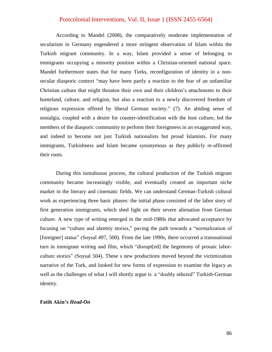According to Mandel (2008), the comparatively moderate implementation of secularism in Germany engendered a more stringent observation of Islam within the Turkish migrant community. In a way, Islam provided a sense of belonging to immigrants occupying a minority position within a Christian-oriented national space. Mandel furthermore states that for many Turks, reconfiguration of identity in a nonsecular diasporic context "may have been partly a reaction to the fear of an unfamiliar Christian culture that might threaten their own and their children's attachments to their homeland, culture, and religion, but also a reaction to a newly discovered freedom of religious expression offered by liberal German society." (7). An abiding sense of nostalgia, coupled with a desire for counter-identification with the host culture, led the members of the diasporic community to perform their foreignness in an exaggerated way, and indeed to become not just Turkish nationalists but proud Islamists. For many immigrants, Turkishness and Islam became synonymous as they publicly re-affirmed their roots.

During this tumultuous process, the cultural production of the Turkish migrant community became increasingly visible, and eventually created an important niche market in the literary and cinematic fields. We can understand German-Turkish cultural work as experiencing three basic phases: the initial phase consisted of the labor story of first generation immigrants, which shed light on their severe alienation from German culture. A new type of writing emerged in the mid-1980s that advocated acceptance by focusing on "culture and identity stories," paving the path towards a "normalization of [foreigner] status" (Soysal 497, 500). From the late 1990s, there occurred a transnational turn in immigrant writing and film, which "disrupt[ed] the hegemony of prosaic laborculture stories" (Soysal 504). These s new productions moved beyond the victimization narrative of the Turk, and looked for new forms of expression to examine the legacy as well as the challenges of what I will shortly argue is a "doubly othered" Turkish-German identity.

#### **Fatih Akin's** *Head-On*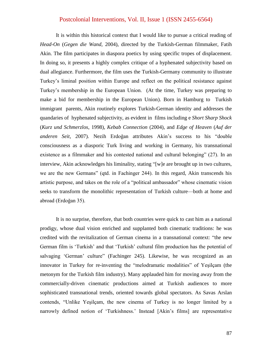It is within this historical context that I would like to pursue a critical reading of *Head-On* (*Gegen die Wand,* 2004), directed by the Turkish-German filmmaker, Fatih Akin. The film participates in diaspora poetics by using specific tropes of displacement. In doing so, it presents a highly complex critique of a hyphenated subjectivity based on dual allegiance. Furthermore, the film uses the Turkish-Germany community to illustrate Turkey's liminal position within Europe and reflect on the political resistance against Turkey's membership in the European Union. (At the time, Turkey was preparing to make a bid for membership in the European Union). Born in Hamburg to Turkish immigrant parents, Akin routinely explores Turkish-German identity and addresses the quandaries of hyphenated subjectivity, as evident in films including e *Short Sharp Shock* (*Kurz und Schmerzlos*, 1998), *Kebab Connection* (2004), and *Edge of Heaven* (*Auf der anderen Seit*, 2007). Nezih Erdoğan attributes Akin's success to his "double consciousness as a diasporic Turk living and working in Germany, his transnational existence as a filmmaker and his contested national and cultural belonging"  $(27)$ . In an interview, Akin acknowledges his liminality, stating "[w]e are brought up in two cultures, we are the new Germans" (qtd. in Fachinger 244). In this regard, Akin transcends his artistic purpose, and takes on the role of a "political ambassador" whose cinematic vision seeks to transform the monolithic representation of Turkish culture—both at home and abroad (Erdoğan 35).

It is no surprise, therefore, that both countries were quick to cast him as a national prodigy, whose dual vision enriched and supplanted both cinematic traditions: he was credited with the revitalization of German cinema in a transnational context: "the new German film is 'Turkish' and that 'Turkish' cultural film production has the potential of salvaging 'German' culture" (Fachinger 245). Likewise, he was recognized as an innovator in Turkey for re-inventing the "melodramatic modalities" of Yeşilçam (the metonym for the Turkish film industry). Many applauded him for moving away from the commercially-driven cinematic productions aimed at Turkish audiences to more sophisticated transnational trends, oriented towards global spectators. As Savas Arslan contends, "Unlike Yeşilçam, the new cinema of Turkey is no longer limited by a narrowly defined notion of 'Turkishness.' Instead [Akin's films] are representative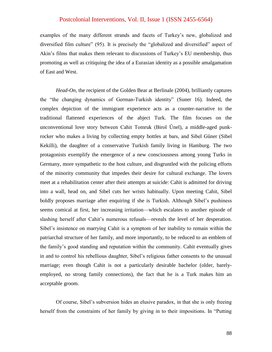examples of the many different strands and facets of Turkey's new, globalized and diversified film culture" (95). It is precisely the "globalized and diversified" aspect of Akin's films that makes them relevant to discussions of Turkey's EU membership, thus promoting as well as critiquing the idea of a Eurasian identity as a possible amalgamation of East and West.

*Head-On*, the recipient of the Golden Bear at Berlinale (2004), brilliantly captures the "the changing dynamics of German-Turkish identity" (Suner 16). Indeed, the complex depiction of the immigrant experience acts as a counter-narrative to the traditional flattened experiences of the abject Turk. The film focuses on the unconventional love story between Cahit Tomruk (Birol Űnel), a middle-aged punkrocker who makes a living by collecting empty bottles at bars, and Sibel Gűner (Sibel Kekilli), the daughter of a conservative Turkish family living in Hamburg. The two protagonists exemplify the emergence of a new consciousness among young Turks in Germany, more sympathetic to the host culture, and disgruntled with the policing efforts of the minority community that impedes their desire for cultural exchange. The lovers meet at a rehabilitation center after their attempts at suicide: Cahit is admitted for driving into a wall, head on, and Sibel cuts her wrists habitually. Upon meeting Cahit, Sibel boldly proposes marriage after enquiring if she is Turkish. Although Sibel's pushiness seems comical at first, her increasing irritation—which escalates to another episode of slashing herself after Cahit's numerous refusals—reveals the level of her desperation. Sibel's insistence on marrying Cahit is a symptom of her inability to remain within the patriarchal structure of her family, and more importantly, to be reduced to an emblem of the family's good standing and reputation within the community. Cahit eventually gives in and to control his rebellious daughter, Sibel's religious father consents to the unusual marriage; even though Cahit is not a particularly desirable bachelor (older, barelyemployed, no strong family connections), the fact that he is a Turk makes him an acceptable groom.

Of course, Sibel's subversion hides an elusive paradox, in that she is only freeing herself from the constraints of her family by giving in to their impositions. In "Putting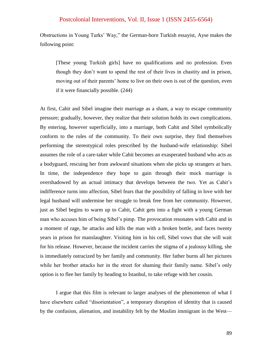Obstructions in Young Turks' Way," the German-born Turkish essayist, Ayse makes the following point:

[These young Turkish girls] have no qualifications and no profession. Even though they don't want to spend the rest of their lives in chastity and in prison, moving out of their parents' home to live on their own is out of the question, even if it were financially possible. (244)

At first, Cahit and Sibel imagine their marriage as a sham, a way to escape community pressure; gradually, however, they realize that their solution holds its own complications. By entering, however superficially, into a marriage, both Cahit and Sibel symbolically conform to the rules of the community. To their own surprise, they find themselves performing the stereotypical roles prescribed by the husband-wife relationship: Sibel assumes the role of a care-taker while Cahit becomes an exasperated husband who acts as a bodyguard, rescuing her from awkward situations when she picks up strangers at bars. In time, the independence they hope to gain through their mock marriage is overshadowed by an actual intimacy that develops between the two. Yet as Cahit's indifference turns into affection, Sibel fears that the possibility of falling in love with her legal husband will undermine her struggle to break free from her community. However, just as Sibel begins to warm up to Cahit, Cahit gets into a fight with a young German man who accuses him of being Sibel's pimp. The provocation resonates with Cahit and in a moment of rage, he attacks and kills the man with a broken bottle, and faces twenty years in prison for manslaughter. Visiting him in his cell, Sibel vows that she will wait for his release. However, because the incident carries the stigma of a jealousy killing, she is immediately ostracized by her family and community. Her father burns all her pictures while her brother attacks her in the street for shaming their family name. Sibel's only option is to flee her family by heading to Istanbul, to take refuge with her cousin.

I argue that this film is relevant to larger analyses of the phenomenon of what I have elsewhere called "disorientation", a temporary disruption of identity that is caused by the confusion, alienation, and instability felt by the Muslim immigrant in the West—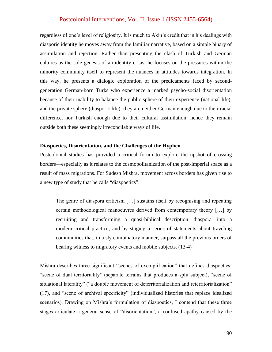regardless of one's level of religiosity. It is much to Akin's credit that in his dealings with diasporic identity he moves away from the familiar narrative, based on a simple binary of assimilation and rejection. Rather than presenting the clash of Turkish and German cultures as the sole genesis of an identity crisis, he focuses on the pressures within the minority community itself to represent the nuances in attitudes towards integration. In this way, he presents a dialogic exploration of the predicaments faced by secondgeneration German-born Turks who experience a marked psycho-social disorientation because of their inability to balance the public sphere of their experience (national life), and the private sphere (diasporic life): they are neither German enough due to their racial difference, nor Turkish enough due to their cultural assimilation; hence they remain outside both these seemingly irreconcilable ways of life.

#### **Diaspoetics, Disorientation, and the Challenges of the Hyphen**

Postcolonial studies has provided a critical forum to explore the upshot of crossing borders—especially as it relates to the cosmopolitanization of the post-imperial space as a result of mass migrations. For Sudesh Mishra, movement across borders has given rise to a new type of study that he calls "diaspoetics":

The genre of diaspora criticism […] sustains itself by recognising and repeating certain methodological manoeuvres derived from contemporary theory […] by recruiting and transforming a quasi-biblical description—diaspora—into a modern critical practice; and by staging a series of statements about traveling communities that, in a sly combinatory manner, surpass all the previous orders of bearing witness to migratory events and mobile subjects. (13-4)

Mishra describes three significant "scenes of exemplification" that defines diaspoetics: "scene of dual territoriality" (separate terrains that produces a split subject), "scene of situational laterality" ("a double movement of deterritorialization and reterritorialization" (17), and "scene of archival specificity" (individualized histories that replace idealized scenarios). Drawing on Mishra's formulation of diaspoetics, I contend that these three stages articulate a general sense of "disorientation", a confused apathy caused by the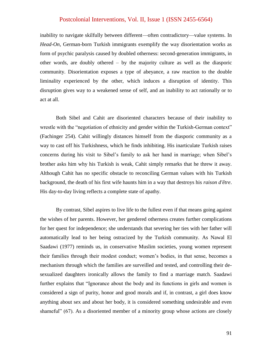inability to navigate skilfully between different—often contradictory—value systems. In *Head-On*, German-born Turkish immigrants exemplify the way disorientation works as form of psychic paralysis caused by doubled otherness: second-generation immigrants, in other words, are doubly othered – by the majority culture as well as the diasporic community. Disorientation exposes a type of abeyance, a raw reaction to the double liminality experienced by the other, which induces a disruption of identity. This disruption gives way to a weakened sense of self, and an inability to act rationally or to act at all.

Both Sibel and Cahit are disoriented characters because of their inability to wrestle with the "negotiation of ethnicity and gender within the Turkish-German context" (Fachinger 254). Cahit willingly distances himself from the diasporic community as a way to cast off his Turkishness, which he finds inhibiting. His inarticulate Turkish raises concerns during his visit to Sibel's family to ask her hand in marriage; when Sibel's brother asks him why his Turkish is weak, Cahit simply remarks that he threw it away. Although Cahit has no specific obstacle to reconciling German values with his Turkish background, the death of his first wife haunts him in a way that destroys his *raison d'être*. His day-to-day living reflects a complete state of apathy.

By contrast, Sibel aspires to live life to the fullest even if that means going against the wishes of her parents. However, her gendered otherness creates further complications for her quest for independence; she understands that severing her ties with her father will automatically lead to her being ostracized by the Turkish community. As Nawal El Saadawi (1977) reminds us, in conservative Muslim societies, young women represent their families through their modest conduct; women's bodies, in that sense, becomes a mechanism through which the families are surveilled and tested, and controlling their desexualized daughters ironically allows the family to find a marriage match. Saadawi further explains that "Ignorance about the body and its functions in girls and women is considered a sign of purity, honor and good morals and if, in contrast, a girl does know anything about sex and about her body, it is considered something undesirable and even shameful"  $(67)$ . As a disoriented member of a minority group whose actions are closely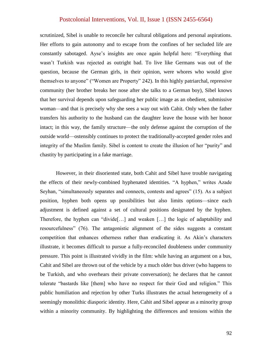scrutinized, Sibel is unable to reconcile her cultural obligations and personal aspirations. Her efforts to gain autonomy and to escape from the confines of her secluded life are constantly sabotaged. Ayse's insights are once again helpful here: "Everything that wasn't Turkish was rejected as outright bad. To live like Germans was out of the question, because the German girls, in their opinion, were whores who would give themselves to anyone" ("Women are Property" 242). In this highly patriarchal, repressive community (her brother breaks her nose after she talks to a German boy), Sibel knows that her survival depends upon safeguarding her public image as an obedient, submissive woman—and that is precisely why she sees a way out with Cahit. Only when the father transfers his authority to the husband can the daughter leave the house with her honor intact; in this way, the family structure—the only defense against the corruption of the outside world—ostensibly continues to protect the traditionally-accepted gender roles and integrity of the Muslim family. Sibel is content to create the illusion of her "purity" and chastity by participating in a fake marriage.

However, in their disoriented state, both Cahit and Sibel have trouble navigating the effects of their newly-combined hyphenated identities. "A hyphen," writes Azade Seyhan, "simultaneously separates and connects, contests and agrees" (15). As a subject position, hyphen both opens up possibilities but also limits options—since each adjustment is defined against a set of cultural positions designated by the hyphen. Therefore, the hyphen can "divide [...] and weaken  $[\dots]$  the logic of adaptability and resourcefulness" (76). The antagonistic alignment of the sides suggests a constant competition that enhances otherness rather than eradicating it. As Akin's characters illustrate, it becomes difficult to pursue a fully-reconciled doubleness under community pressure. This point is illustrated vividly in the film: while having an argument on a bus, Cahit and Sibel are thrown out of the vehicle by a much older bus driver (who happens to be Turkish, and who overhears their private conversation); he declares that he cannot tolerate "bastards like [them] who have no respect for their God and religion." This public humiliation and rejection by other Turks illustrates the actual heterogeneity of a seemingly monolithic diasporic identity. Here, Cahit and Sibel appear as a minority group within a minority community. By highlighting the differences and tensions within the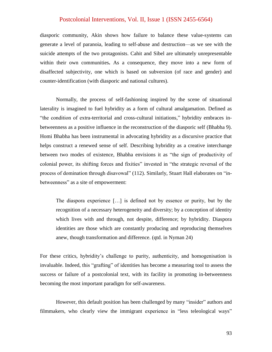diasporic community, Akin shows how failure to balance these value-systems can generate a level of paranoia, leading to self-abuse and destruction—as we see with the suicide attempts of the two protagonists. Cahit and Sibel are ultimately unrepresentable within their own communities**.** As a consequence, they move into a new form of disaffected subjectivity, one which is based on subversion (of race and gender) and counter-identification (with diasporic and national cultures).

Normally, the process of self-fashioning inspired by the scene of situational laterality is imagined to fuel hybridity as a form of cultural amalgamation. Defined as "the condition of extra-territorial and cross-cultural initiations," hybridity embraces inbetweenness as a positive influence in the reconstruction of the diasporic self (Bhabha 9). Homi Bhabha has been instrumental in advocating hybridity as a discursive practice that helps construct a renewed sense of self. Describing hybridity as a creative interchange between two modes of existence, Bhabha envisions it as "the sign of productivity of colonial power, its shifting forces and fixities" invested in "the strategic reversal of the process of domination through disavowal" (112). Similarly, Stuart Hall elaborates on "inbetweenness" as a site of empowerment:

The diaspora experience […] is defined not by essence or purity, but by the recognition of a necessary heterogeneity and diversity; by a conception of identity which lives with and through, not despite, difference; by hybridity. Diaspora identities are those which are constantly producing and reproducing themselves anew, though transformation and difference. (qtd. in Nyman 24)

For these critics, hybridity's challenge to purity, authenticity, and homogenisation is invaluable. Indeed, this "grafting" of identities has become a measuring tool to assess the success or failure of a postcolonial text, with its facility in promoting in-betweenness becoming the most important paradigm for self-awareness.

However, this default position has been challenged by many "insider" authors and filmmakers, who clearly view the immigrant experience in "less teleological ways"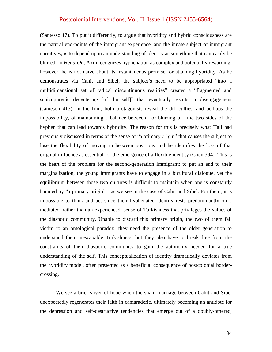(Santesso 17). To put it differently, to argue that hybridity and hybrid consciousness are the natural end-points of the immigrant experience, and the innate subject of immigrant narratives, is to depend upon an understanding of identity as something that can easily be blurred. In *Head-On*, Akin recognizes hyphenation as complex and potentially rewarding; however, he is not naïve about its instantaneous promise for attaining hybridity. As he demonstrates via Cahit and Sibel, the subject's need to be appropriated "into a multidimensional set of radical discontinuous realities" creates a "fragmented and schizophrenic decentering [of the self]" that eventually results in disengagement (Jameson 413). In the film, both protagonists reveal the difficulties, and perhaps the impossibility, of maintaining a balance between—or blurring of—the two sides of the hyphen that can lead towards hybridity. The reason for this is precisely what Hall had previously discussed in terms of the sense of "a primary origin" that causes the subject to lose the flexibility of moving in between positions and he identifies the loss of that original influence as essential for the emergence of a flexible identity (Chen 394). This is the heart of the problem for the second-generation immigrant: to put an end to their marginalization, the young immigrants have to engage in a bicultural dialogue, yet the equilibrium between those two cultures is difficult to maintain when one is constantly haunted by "a primary origin"—as we see in the case of Cahit and Sibel. For them, it is impossible to think and act since their hyphenated identity rests predominantly on a mediated, rather than an experienced, sense of Turkishness that privileges the values of the diasporic community. Unable to discard this primary origin, the two of them fall victim to an ontological paradox: they need the presence of the older generation to understand their inescapable Turkishness, but they also have to break free from the constraints of their diasporic community to gain the autonomy needed for a true understanding of the self. This conceptualization of identity dramatically deviates from the hybridity model, often presented as a beneficial consequence of postcolonial bordercrossing.

We see a brief sliver of hope when the sham marriage between Cahit and Sibel unexpectedly regenerates their faith in camaraderie, ultimately becoming an antidote for the depression and self-destructive tendencies that emerge out of a doubly-othered,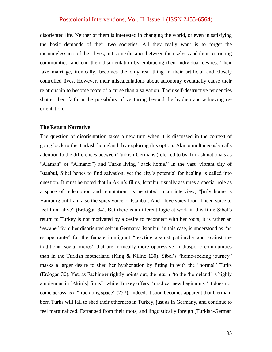disoriented life. Neither of them is interested in changing the world, or even in satisfying the basic demands of their two societies. All they really want is to forget the meaninglessness of their lives, put some distance between themselves and their restricting communities, and end their disorientation by embracing their individual desires. Their fake marriage, ironically, becomes the only real thing in their artificial and closely controlled lives. However, their miscalculations about autonomy eventually cause their relationship to become more of a curse than a salvation. Their self-destructive tendencies shatter their faith in the possibility of venturing beyond the hyphen and achieving reorientation.

### **The Return Narrative**

The question of disorientation takes a new turn when it is discussed in the context of going back to the Turkish homeland: by exploring this option, Akin **s**imultaneously calls attention to the differences between Turkish-Germans (referred to by Turkish nationals as "Alaman" or "Almanci") and Turks living "back home." In the vast, vibrant city of Istanbul, Sibel hopes to find salvation, yet the city's potential for healing is called into question. It must be noted that in Akin's films, Istanbul usually assumes a special role as a space of redemption and temptation; as he stated in an interview, "[m]y home is Hamburg but I am also the spicy voice of Istanbul. And I love spicy food. I need spice to feel I am alive" (Erdoğan 34). But there is a different logic at work in this film: Sibel's return to Turkey is not motivated by a desire to reconnect with her roots; it is rather an "escape" from her disoriented self in Germany. Istanbul, in this case, is understood as "an escape route" for the female immigrant "reacting against patriarchy and against the traditional social mores" that are ironically more oppressive in diasporic communities than in the Turkish motherland (King  $&$  Kilinc 130). Sibel's "home-seeking journey" masks a larger desire to shed her hyphenation by fitting in with the "normal" Turks (Erdoğan 30). Yet, as Fachinger rightly points out, the return "to the 'homeland' is highly ambiguous in [Akin's] films": while Turkey offers "a radical new beginning," it does not come across as a "liberating space" (257). Indeed, it soon becomes apparent that Germanborn Turks will fail to shed their otherness in Turkey, just as in Germany, and continue to feel marginalized. Estranged from their roots, and linguistically foreign (Turkish-German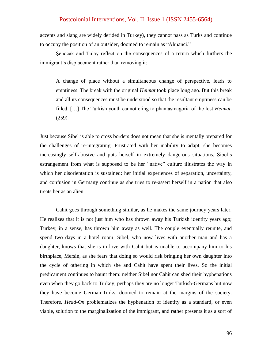accents and slang are widely derided in Turkey), they cannot pass as Turks and continue to occupy the position of an outsider, doomed to remain as "Almanci."

Şenocak and Tulay reflect on the consequences of a return which furthers the immigrant's displacement rather than removing it:

A change of place without a simultaneous change of perspective, leads to emptiness. The break with the original *Heimat* took place long ago. But this break and all its consequences must be understood so that the resultant emptiness can be filled. […] The Turkish youth cannot cling to phantasmagoria of the lost *Heimat*. (259)

Just because Sibel is able to cross borders does not mean that she is mentally prepared for the challenges of re-integrating. Frustrated with her inability to adapt, she becomes increasingly self-abusive and puts herself in extremely dangerous situations. Sibel's estrangement from what is supposed to be her "native" culture illustrates the way in which her disorientation is sustained: her initial experiences of separation, uncertainty, and confusion in Germany continue as she tries to re-assert herself in a nation that also treats her as an alien.

Cahit goes through something similar, as he makes the same journey years later. He realizes that it is not just him who has thrown away his Turkish identity years ago; Turkey, in a sense, has thrown him away as well. The couple eventually reunite, and spend two days in a hotel room; Sibel, who now lives with another man and has a daughter, knows that she is in love with Cahit but is unable to accompany him to his birthplace, Mersin, as she fears that doing so would risk bringing her own daughter into the cycle of othering in which she and Cahit have spent their lives. So the initial predicament continues to haunt them: neither Sibel nor Cahit can shed their hyphenations even when they go back to Turkey; perhaps they are no longer Turkish-Germans but now they have become German-Turks, doomed to remain at the margins of the society. Therefore, *Head-On* problematizes the hyphenation of identity as a standard, or even viable, solution to the marginalization of the immigrant, and rather presents it as a sort of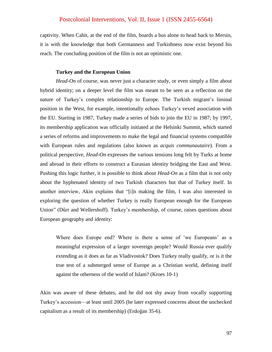captivity. When Cahit, at the end of the film, boards a bus alone to head back to Mersin, it is with the knowledge that both Germanness and Turkishness now exist beyond his reach. The concluding position of the film is not an optimistic one.

#### **Turkey and the European Union**

*Head-On* of course, was never just a character study, or even simply a film about hybrid identity; on a deeper level the film was meant to be seen as a reflection on the nature of Turkey's complex relationship to Europe. The Turkish migrant's liminal position in the West, for example, intentionally echoes Turkey's vexed association with the EU. Starting in 1987, Turkey made a series of bids to join the EU in 1987; by 1997, its membership application was officially initiated at the Helsinki Summit, which started a series of reforms and improvements to make the legal and financial systems compatible with European rules and regulations (also known as *acquis communautaire*). From a political perspective, *Head-On* expresses the various tensions long felt by Turks at home and abroad in their efforts to construct a Eurasian identity bridging the East and West. Pushing this logic further, it is possible to think about *Head-On* as a film that is not only about the hyphenated identity of two Turkish characters but that of Turkey itself. In another interview, Akin explains that "[i]n making the film, I was also interested in exploring the question of whether Turkey is really European enough for the European Union" (Dűrr and Wellershoff). Turkey's membership, of course, raises questions about European geography and identity:

Where does Europe end? Where is there a sense of 'we Europeans' as a meaningful expression of a larger sovereign people? Would Russia ever qualify extending as it does as far as Vladivostok? Does Turkey really qualify, or is it the true test of a submerged sense of Europe as a Christian world, defining itself against the otherness of the world of Islam? (Kroes 10-1)

Akin was aware of these debates, and he did not shy away from vocally supporting Turkey's accession—at least until 2005 (he later expressed concerns about the unchecked capitalism as a result of its membership) (Erdoğan 35-6).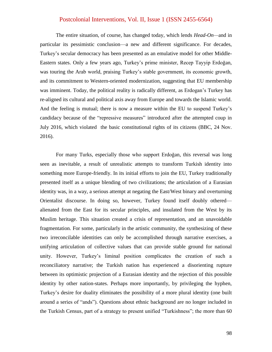The entire situation, of course, has changed today, which lends *Head-On—*and in particular its pessimistic conclusion—a new and different significance. For decades, Turkey's secular democracy has been presented as an emulative model for other Middle-Eastern states. Only a few years ago, Turkey's prime minister, Recep Tayyip Erdoğan, was touring the Arab world, praising Turkey's stable government, its economic growth, and its commitment to Western-oriented modernization, suggesting that EU membership was imminent. Today, the political reality is radically different, as Erdogan's Turkey has re-aligned its cultural and political axis away from Europe and towards the Islamic world. And the feeling is mutual; there is now a measure within the EU to suspend Turkey's candidacy because of the "repressive measures" introduced after the attempted coup in July 2016, which violated the basic constitutional rights of its citizens (BBC, 24 Nov. 2016).

For many Turks, especially those who support Erdoğan, this reversal was long seen as inevitable, a result of unrealistic attempts to transform Turkish identity into something more Europe-friendly. In its initial efforts to join the EU, Turkey traditionally presented itself as a unique blending of two civilizations; the articulation of a Eurasian identity was, in a way, a serious attempt at negating the East/West binary and overturning Orientalist discourse. In doing so, however, Turkey found itself doubly othered alienated from the East for its secular principles, and insulated from the West by its Muslim heritage. This situation created a crisis of representation, and an unavoidable fragmentation. For some, particularly in the artistic community, the synthesizing of these two irreconcilable identities can only be accomplished through narrative exercises, a unifying articulation of collective values that can provide stable ground for national unity. However, Turkey's liminal position complicates the creation of such a reconciliatory narrative; the Turkish nation has experienced a disorienting rupture between its optimistic projection of a Eurasian identity and the rejection of this possible identity by other nation-states. Perhaps more importantly, by privileging the hyphen, Turkey's desire for duality eliminates the possibility of a more plural identity (one built around a series of "ands"). Questions about ethnic background are no longer included in the Turkish Census, part of a strategy to present unified "Turkishness"; the more than 60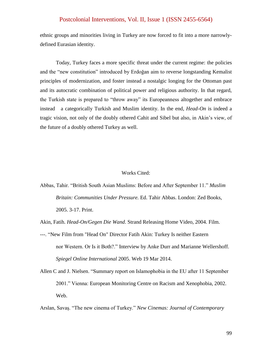ethnic groups and minorities living in Turkey are now forced to fit into a more narrowlydefined Eurasian identity.

Today, Turkey faces a more specific threat under the current regime: the policies and the "new constitution" introduced by Erdoğan aim to reverse longstanding Kemalist principles of modernization, and foster instead a nostalgic longing for the Ottoman past and its autocratic combination of political power and religious authority. In that regard, the Turkish state is prepared to "throw away" its Europeanness altogether and embrace instead a categorically Turkish and Muslim identity. In the end, *Head-On* is indeed a tragic vision, not only of the doubly othered Cahit and Sibel but also, in Akin's view, of the future of a doubly othered Turkey as well.

#### Works Cited:

Abbas, Tahir. "British South Asian Muslims: Before and After September 11." Muslim *Britain: Communities Under Pressure.* Ed. Tahir Abbas. London: Zed Books, 2005. 3-17. Print.

Akin, Fatih. *Head-On/Gegen Die Wand*. Strand Releasing Home Video, 2004. Film.

- ---. "New Film from "Head On" Director Fatih Akin: Turkey Is neither Eastern nor Western. Or Is it Both?." Interview by Anke Durr and Marianne Wellershoff. *Spiegel Online International* 2005. Web 19 Mar 2014.
- Allen C and J. Nielsen. "Summary report on Islamophobia in the EU after 11 September 2001." Vienna: European Monitoring Centre on Racism and Xenophobia, 2002. Web.

Arslan, Savaş. "The new cinema of Turkey." New Cinemas: Journal of Contemporary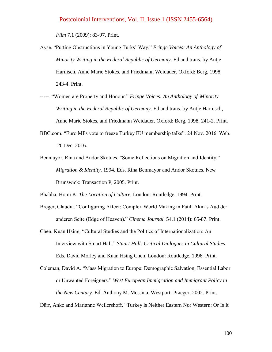*Film* 7.1 (2009): 83-97. Print.

- Ayse. "Putting Obstructions in Young Turks' Way." *Fringe Voices: An Anthology of Minority Writing in the Federal Republic of Germany*. Ed and trans. by Antje Harnisch, Anne Marie Stokes, and Friedmann Weidauer. Oxford: Berg, 1998. 243-4. Print.
- -----. "Women are Property and Honour." *Fringe Voices: An Anthology of Minority Writing in the Federal Republic of Germany*. Ed and trans. by Antje Harnisch, Anne Marie Stokes, and Friedmann Weidauer. Oxford: Berg, 1998. 241-2. Print.
- BBC.com. "Euro MPs vote to freeze Turkey EU membership talks". 24 Nov. 2016. Web. 20 Dec. 2016.
- Benmayor, Rina and Andor Skotnes. "Some Reflections on Migration and Identity." *Migration & Identity*. 1994. Eds. Rina Benmayor and Andor Skotnes. New Brunswick: Transaction P, 2005. Print.

Bhabha, Homi K. *The Location of Culture*. London: Routledge, 1994. Print.

- Breger, Claudia. "Configuring Affect: Complex World Making in Fatih Akin's Aud der anderen Seite (Edge of Heaven)." *Cinema Journal.* 54.1 (2014): 65-87. Print.
- Chen, Kuan Hsing. ―Cultural Studies and the Politics of Internationalization: An Interview with Stuart Hall." Stuart Hall: Critical Dialogues in Cultural Studies. Eds. David Morley and Kuan Hsing Chen. London: Routledge, 1996. Print.
- Coleman, David A. "Mass Migration to Europe: Demographic Salvation, Essential Labor or Unwanted Foreigners.‖ *West European Immigration and Immigrant Policy in the New Century.* Ed. Anthony M. Messina. Westport: Praeger, 2002. Print.

Dürr, Anke and Marianne Wellershoff. "Turkey is Neither Eastern Nor Western: Or Is It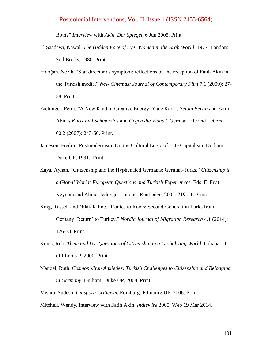Both?‖ *Interview* with *Akin*. *Der Spiegel*, 6 Jun 2005. Print.

- El Saadawi, Nawal*. The Hidden Face of Eve: Women in the Arab World*. 1977. London: Zed Books, 1980. Print.
- Erdoğan, Nezih. "Star director as symptom: reflections on the reception of Fatih Akin in the Turkish media.‖ *New Cinemas: Journal of Contemporary Film* 7.1 (2009): 27- 38. Print.
- Fachinger, Petra. "A New Kind of Creative Energy: Yadé Kara's *Selam Berlin* and Fatih Akin's *Kurtz und Schmerzlos* and *Gegen die Wand*.‖ German Life and Letters. 60.2 (2007): 243-60. Print.
- Jameson, Fredric. Postmodernism, Or, the Cultural Logic of Late Capitalism. Durham: Duke UP, 1991. Print.
- Kaya, Ayhan. "Citizenship and the Hyphenated Germans: German-Turks." *Citizenship in a Global World: European Questions and Turkish Experiences*. Eds. E. Fuat Keyman and Ahmet İçduygu. London: Routledge, 2005. 219-41. Print.
- King, Russell and Nilay Kilinc. "Routes to Roots: Second-Generation Turks from Gemany 'Return' to Turkey." *Nordic Journal of Migration Research* 4.1 (2014): 126-33. Print.
- Kroes, Rob. *Them and Us: Questions of Citizenship in a Globalizing World*. Urbana: U of Illinois P. 2000. Print.
- Mandel, Ruth. *Cosmopolitan Anxieties: Turkish Challenges to Citizenship and Belonging in Germany.* Durham: Duke UP, 2008. Print.
- Mishra, Sudesh. *Diaspora Criticism.* Edinburg: Edinburg UP, 2006. Print.
- Mitchell, Wendy. Interview with Fatih Akin. *Indiewire* 2005. Web 19 Mar 2014.